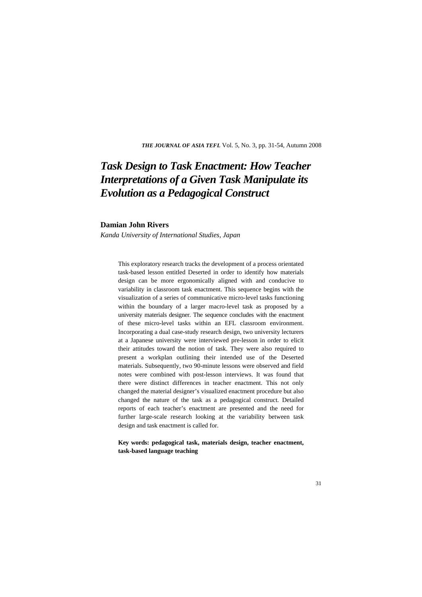*THE JOURNAL OF ASIA TEFL* Vol. 5, No. 3, pp. 31-54, Autumn 2008

# *Task Design to Task Enactment: How Teacher Interpretations of a Given Task Manipulate its Evolution as a Pedagogical Construct*

#### **Damian John Rivers**

*Kanda University of International Studies, Japan*

This exploratory research tracks the development of a process orientated task-based lesson entitled Deserted in order to identify how materials design can be more ergonomically aligned with and conducive to variability in classroom task enactment. This sequence begins with the visualization of a series of communicative micro-level tasks functioning within the boundary of a larger macro-level task as proposed by a university materials designer. The sequence concludes with the enactment of these micro-level tasks within an EFL classroom environment. Incorporating a dual case-study research design, two university lecturers at a Japanese university were interviewed pre-lesson in order to elicit their attitudes toward the notion of task. They were also required to present a workplan outlining their intended use of the Deserted materials. Subsequently, two 90-minute lessons were observed and field notes were combined with post-lesson interviews. It was found that there were distinct differences in teacher enactment. This not only changed the material designer's visualized enactment procedure but also changed the nature of the task as a pedagogical construct. Detailed reports of each teacher's enactment are presented and the need for further large-scale research looking at the variability between task design and task enactment is called for.

**Key words: pedagogical task, materials design, teacher enactment, task-based language teaching**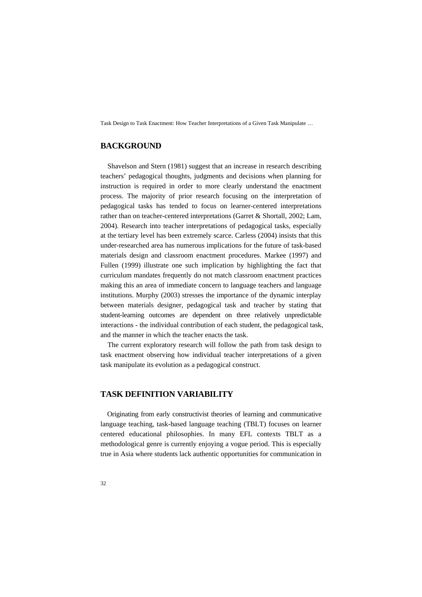# **BACKGROUND**

Shavelson and Stern (1981) suggest that an increase in research describing teachers' pedagogical thoughts, judgments and decisions when planning for instruction is required in order to more clearly understand the enactment process. The majority of prior research focusing on the interpretation of pedagogical tasks has tended to focus on learner-centered interpretations rather than on teacher-centered interpretations (Garret & Shortall, 2002; Lam, 2004). Research into teacher interpretations of pedagogical tasks, especially at the tertiary level has been extremely scarce. Carless (2004) insists that this under-researched area has numerous implications for the future of task-based materials design and classroom enactment procedures. Markee (1997) and Fullen (1999) illustrate one such implication by highlighting the fact that curriculum mandates frequently do not match classroom enactment practices making this an area of immediate concern to language teachers and language institutions. Murphy (2003) stresses the importance of the dynamic interplay between materials designer, pedagogical task and teacher by stating that student-learning outcomes are dependent on three relatively unpredictable interactions - the individual contribution of each student, the pedagogical task, and the manner in which the teacher enacts the task.

The current exploratory research will follow the path from task design to task enactment observing how individual teacher interpretations of a given task manipulate its evolution as a pedagogical construct.

## **TASK DEFINITION VARIABILITY**

Originating from early constructivist theories of learning and communicative language teaching, task-based language teaching (TBLT) focuses on learner centered educational philosophies. In many EFL contexts TBLT as a methodological genre is currently enjoying a vogue period. This is especially true in Asia where students lack authentic opportunities for communication in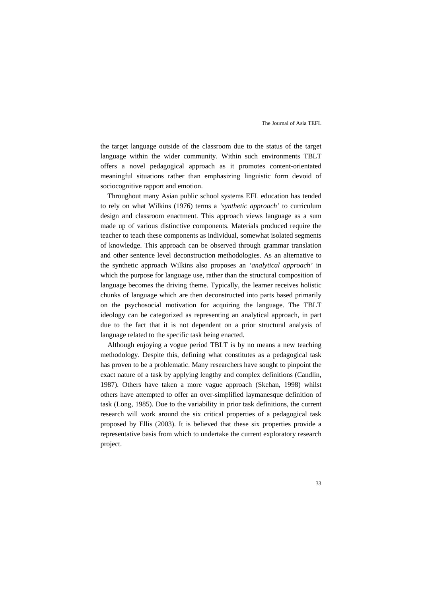the target language outside of the classroom due to the status of the target language within the wider community. Within such environments TBLT offers a novel pedagogical approach as it promotes content-orientated meaningful situations rather than emphasizing linguistic form devoid of sociocognitive rapport and emotion.

Throughout many Asian public school systems EFL education has tended to rely on what Wilkins (1976) terms a *'synthetic approach'* to curriculum design and classroom enactment. This approach views language as a sum made up of various distinctive components. Materials produced require the teacher to teach these components as individual, somewhat isolated segments of knowledge. This approach can be observed through grammar translation and other sentence level deconstruction methodologies. As an alternative to the synthetic approach Wilkins also proposes an *'analytical approach'* in which the purpose for language use, rather than the structural composition of language becomes the driving theme. Typically, the learner receives holistic chunks of language which are then deconstructed into parts based primarily on the psychosocial motivation for acquiring the language. The TBLT ideology can be categorized as representing an analytical approach, in part due to the fact that it is not dependent on a prior structural analysis of language related to the specific task being enacted.

Although enjoying a vogue period TBLT is by no means a new teaching methodology. Despite this, defining what constitutes as a pedagogical task has proven to be a problematic. Many researchers have sought to pinpoint the exact nature of a task by applying lengthy and complex definitions (Candlin, 1987). Others have taken a more vague approach (Skehan, 1998) whilst others have attempted to offer an over-simplified laymanesque definition of task (Long, 1985). Due to the variability in prior task definitions, the current research will work around the six critical properties of a pedagogical task proposed by Ellis (2003). It is believed that these six properties provide a representative basis from which to undertake the current exploratory research project.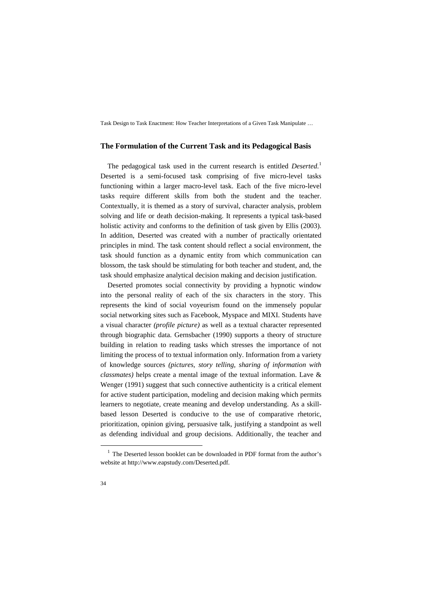#### **The Formulation of the Current Task and its Pedagogical Basis**

The pedagogical task used in the current research is entitled *Deserted*. 1 Deserted is a semi-focused task comprising of five micro-level tasks functioning within a larger macro-level task. Each of the five micro-level tasks require different skills from both the student and the teacher. Contextually, it is themed as a story of survival, character analysis, problem solving and life or death decision-making. It represents a typical task-based holistic activity and conforms to the definition of task given by Ellis (2003). In addition, Deserted was created with a number of practically orientated principles in mind. The task content should reflect a social environment, the task should function as a dynamic entity from which communication can blossom, the task should be stimulating for both teacher and student, and, the task should emphasize analytical decision making and decision justification.

Deserted promotes social connectivity by providing a hypnotic window into the personal reality of each of the six characters in the story. This represents the kind of social voyeurism found on the immensely popular social networking sites such as Facebook, Myspace and MIXI. Students have a visual character *(profile picture)* as well as a textual character represented through biographic data. Gernsbacher (1990) supports a theory of structure building in relation to reading tasks which stresses the importance of not limiting the process of to textual information only. Information from a variety of knowledge sources *(pictures, story telling, sharing of information with classmates)* helps create a mental image of the textual information. Lave & Wenger (1991) suggest that such connective authenticity is a critical element for active student participation, modeling and decision making which permits learners to negotiate, create meaning and develop understanding. As a skillbased lesson Deserted is conducive to the use of comparative rhetoric, prioritization, opinion giving, persuasive talk, justifying a standpoint as well as defending individual and group decisions. Additionally, the teacher and

The Deserted lesson booklet can be downloaded in PDF format from the author's website at http://www.eapstudy.com/Deserted.pdf.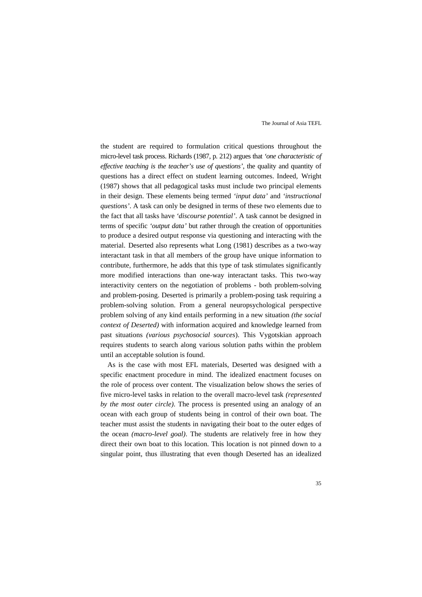the student are required to formulation critical questions throughout the micro-level task process. Richards (1987, p. 212) argues that *'one characteristic of effective teaching is the teacher's use of questions'*, the quality and quantity of questions has a direct effect on student learning outcomes. Indeed, Wright (1987) shows that all pedagogical tasks must include two principal elements in their design. These elements being termed *'input data'* and *'instructional questions'*. A task can only be designed in terms of these two elements due to the fact that all tasks have *'discourse potential'*. A task cannot be designed in terms of specific *'output data'* but rather through the creation of opportunities to produce a desired output response via questioning and interacting with the material. Deserted also represents what Long (1981) describes as a two-way interactant task in that all members of the group have unique information to contribute, furthermore, he adds that this type of task stimulates significantly more modified interactions than one-way interactant tasks. This two-way interactivity centers on the negotiation of problems - both problem-solving and problem-posing. Deserted is primarily a problem-posing task requiring a problem-solving solution. From a general neuropsychological perspective problem solving of any kind entails performing in a new situation *(the social context of Deserted)* with information acquired and knowledge learned from past situations *(various psychosocial sources*). This Vygotskian approach requires students to search along various solution paths within the problem until an acceptable solution is found.

As is the case with most EFL materials, Deserted was designed with a specific enactment procedure in mind. The idealized enactment focuses on the role of process over content. The visualization below shows the series of five micro-level tasks in relation to the overall macro-level task *(represented by the most outer circle)*. The process is presented using an analogy of an ocean with each group of students being in control of their own boat. The teacher must assist the students in navigating their boat to the outer edges of the ocean *(macro-level goal)*. The students are relatively free in how they direct their own boat to this location. This location is not pinned down to a singular point, thus illustrating that even though Deserted has an idealized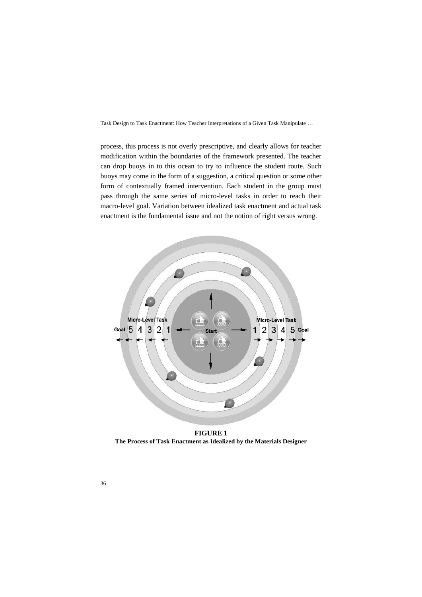process, this process is not overly prescriptive, and clearly allows for teacher modification within the boundaries of the framework presented. The teacher can drop buoys in to this ocean to try to influence the student route. Such buoys may come in the form of a suggestion, a critical question or some other form of contextually framed intervention. Each student in the group must pass through the same series of micro-level tasks in order to reach their macro-level goal. Variation between idealized task enactment and actual task enactment is the fundamental issue and not the notion of right versus wrong.



**FIGURE 1 The Process of Task Enactment as Idealized by the Materials Designer**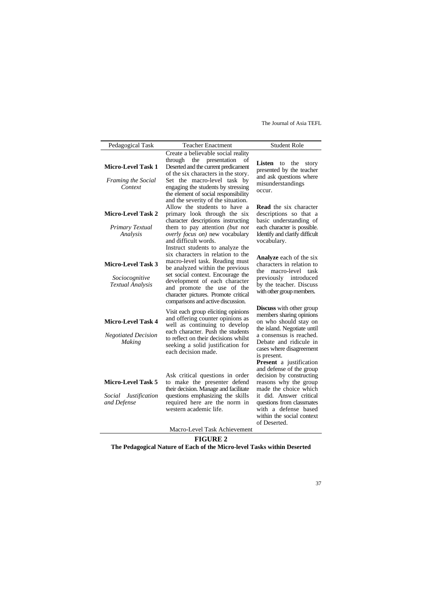| Pedagogical Task                                                    | <b>Teacher Enactment</b>                                                                                                                                                                                                                                                                 | <b>Student Role</b>                                                                                                                                                                                                                                   |  |
|---------------------------------------------------------------------|------------------------------------------------------------------------------------------------------------------------------------------------------------------------------------------------------------------------------------------------------------------------------------------|-------------------------------------------------------------------------------------------------------------------------------------------------------------------------------------------------------------------------------------------------------|--|
| <b>Micro-Level Task 1</b><br>Framing the Social<br>Context          | Create a believable social reality<br>through the presentation<br>οf<br>Deserted and the current predicament<br>of the six characters in the story.<br>Set the macro-level task by<br>engaging the students by stressing<br>the element of social responsibility                         | Listen<br>to<br>the<br>story<br>presented by the teacher<br>and ask questions where<br>misunderstandings<br>occur.                                                                                                                                    |  |
| <b>Micro-Level Task 2</b><br>Primary Textual<br>Analysis            | and the severity of the situation.<br>Allow the students to have a<br>primary look through the six<br>character descriptions instructing<br>them to pay attention (but not<br>overly focus on) new vocabulary<br>and difficult words.<br>Instruct students to analyze the                | <b>Read</b> the six character<br>descriptions so that a<br>basic understanding of<br>each character is possible.<br>Identify and clarify difficult<br>vocabulary.                                                                                     |  |
| Micro-Level Task 3<br>Sociocognitive<br><b>Textual Analysis</b>     | six characters in relation to the<br>macro-level task. Reading must<br>be analyzed within the previous<br>set social context. Encourage the<br>development of each character<br>and promote the use of the<br>character pictures. Promote critical<br>comparisons and active discussion. | <b>Analyze</b> each of the six<br>characters in relation to<br>the macro-level task<br>previously introduced<br>by the teacher. Discuss<br>with other group members.                                                                                  |  |
| Micro-Level Task 4<br><b>Negotiated Decision</b><br><b>Making</b>   | Visit each group eliciting opinions<br>and offering counter opinions as<br>well as continuing to develop<br>each character. Push the students<br>to reflect on their decisions whilst<br>seeking a solid justification for<br>each decision made.                                        | <b>Discuss</b> with other group<br>members sharing opinions<br>on who should stay on<br>the island. Negotiate until<br>a consensus is reached.<br>Debate and ridicule in<br>cases where disagreement<br>is present.<br><b>Present</b> a justification |  |
| Micro-Level Task 5<br>Social<br><i>Justification</i><br>and Defense | Ask critical questions in order<br>to make the presenter defend<br>their decision. Manage and facilitate<br>questions emphasizing the skills<br>required here are the norm in<br>western academic life.<br>Macro-Level Task Achievement                                                  | and defense of the group<br>decision by constructing<br>reasons why the group<br>made the choice which<br>it did. Answer critical<br>questions from classmates<br>with a defense based<br>within the social context<br>of Deserted.                   |  |

## **FIGURE 2**

**The Pedagogical Nature of Each of the Micro-level Tasks within Deserted**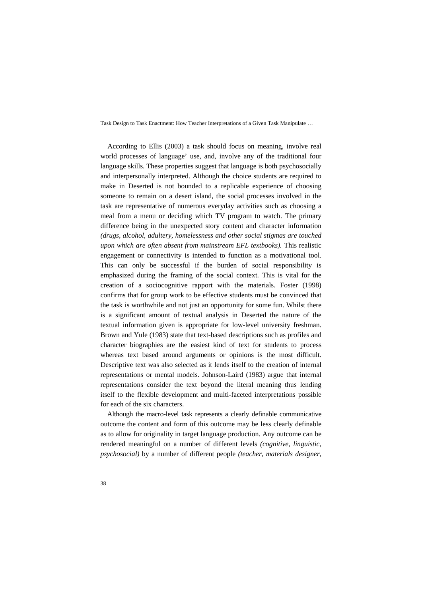According to Ellis (2003) a task should focus on meaning, involve real world processes of language' use, and, involve any of the traditional four language skills. These properties suggest that language is both psychosocially and interpersonally interpreted. Although the choice students are required to make in Deserted is not bounded to a replicable experience of choosing someone to remain on a desert island, the social processes involved in the task are representative of numerous everyday activities such as choosing a meal from a menu or deciding which TV program to watch. The primary difference being in the unexpected story content and character information *(drugs, alcohol, adultery, homelessness and other social stigmas are touched upon which are often absent from mainstream EFL textbooks).* This realistic engagement or connectivity is intended to function as a motivational tool. This can only be successful if the burden of social responsibility is emphasized during the framing of the social context. This is vital for the creation of a sociocognitive rapport with the materials. Foster (1998) confirms that for group work to be effective students must be convinced that the task is worthwhile and not just an opportunity for some fun. Whilst there is a significant amount of textual analysis in Deserted the nature of the textual information given is appropriate for low-level university freshman. Brown and Yule (1983) state that text-based descriptions such as profiles and character biographies are the easiest kind of text for students to process whereas text based around arguments or opinions is the most difficult. Descriptive text was also selected as it lends itself to the creation of internal representations or mental models. Johnson-Laird (1983) argue that internal representations consider the text beyond the literal meaning thus lending itself to the flexible development and multi-faceted interpretations possible for each of the six characters.

Although the macro-level task represents a clearly definable communicative outcome the content and form of this outcome may be less clearly definable as to allow for originality in target language production. Any outcome can be rendered meaningful on a number of different levels *(cognitive, linguistic, psychosocial)* by a number of different people *(teacher, materials designer,*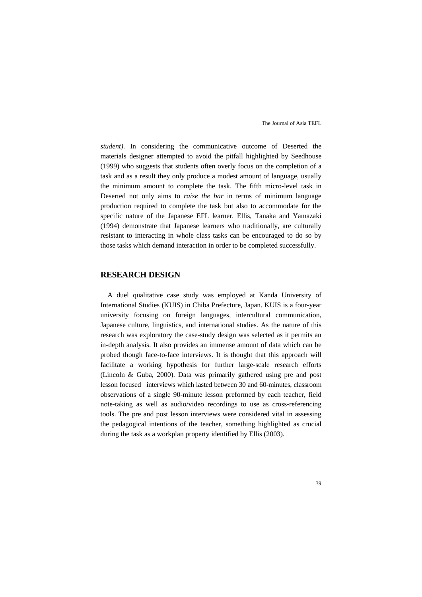*student)*. In considering the communicative outcome of Deserted the materials designer attempted to avoid the pitfall highlighted by Seedhouse (1999) who suggests that students often overly focus on the completion of a task and as a result they only produce a modest amount of language, usually the minimum amount to complete the task. The fifth micro-level task in Deserted not only aims to *raise the bar* in terms of minimum language production required to complete the task but also to accommodate for the specific nature of the Japanese EFL learner. Ellis, Tanaka and Yamazaki (1994) demonstrate that Japanese learners who traditionally, are culturally resistant to interacting in whole class tasks can be encouraged to do so by those tasks which demand interaction in order to be completed successfully.

### **RESEARCH DESIGN**

A duel qualitative case study was employed at Kanda University of International Studies (KUIS) in Chiba Prefecture, Japan. KUIS is a four-year university focusing on foreign languages, intercultural communication, Japanese culture, linguistics, and international studies. As the nature of this research was exploratory the case-study design was selected as it permits an in-depth analysis. It also provides an immense amount of data which can be probed though face-to-face interviews. It is thought that this approach will facilitate a working hypothesis for further large-scale research efforts (Lincoln & Guba, 2000). Data was primarily gathered using pre and post lesson focused interviews which lasted between 30 and 60-minutes, classroom observations of a single 90-minute lesson preformed by each teacher, field note-taking as well as audio/video recordings to use as cross-referencing tools. The pre and post lesson interviews were considered vital in assessing the pedagogical intentions of the teacher, something highlighted as crucial during the task as a workplan property identified by Ellis (2003).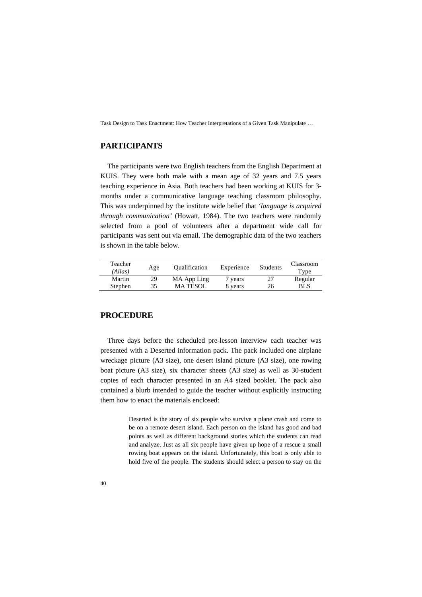# **PARTICIPANTS**

The participants were two English teachers from the English Department at KUIS. They were both male with a mean age of 32 years and 7.5 years teaching experience in Asia. Both teachers had been working at KUIS for 3 months under a communicative language teaching classroom philosophy. This was underpinned by the institute wide belief that *'language is acquired through communication'* (Howatt, 1984). The two teachers were randomly selected from a pool of volunteers after a department wide call for participants was sent out via email. The demographic data of the two teachers is shown in the table below.

| Teacher<br>(Alias) | Age | <b>Oualification</b> | Experience | <b>Students</b> | Classroom<br>Type |
|--------------------|-----|----------------------|------------|-----------------|-------------------|
| Martin             | 29  | MA App Ling          | 7 years    |                 | Regular           |
| Stephen            | 35  | <b>MATESOL</b>       | 8 years    | 26              | BL S              |

# **PROCEDURE**

Three days before the scheduled pre-lesson interview each teacher was presented with a Deserted information pack. The pack included one airplane wreckage picture (A3 size), one desert island picture (A3 size), one rowing boat picture (A3 size), six character sheets (A3 size) as well as 30-student copies of each character presented in an A4 sized booklet. The pack also contained a blurb intended to guide the teacher without explicitly instructing them how to enact the materials enclosed:

> Deserted is the story of six people who survive a plane crash and come to be on a remote desert island. Each person on the island has good and bad points as well as different background stories which the students can read and analyze. Just as all six people have given up hope of a rescue a small rowing boat appears on the island. Unfortunately, this boat is only able to hold five of the people. The students should select a person to stay on the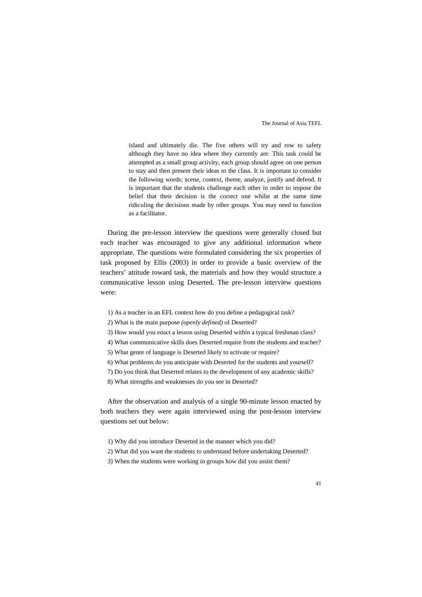island and ultimately die. The five others will try and row to safety although they have no idea where they currently are. This task could be attempted as a small group activity, each group should agree on one person to stay and then present their ideas to the class. It is important to consider the following words; scene, context, theme, analyze, justify and defend. It is important that the students challenge each other in order to impose the belief that their decision is the correct one whilst at the same time ridiculing the decisions made by other groups. You may need to function as a facilitator.

During the pre-lesson interview the questions were generally closed but each teacher was encouraged to give any additional information where appropriate. The questions were formulated considering the six properties of task proposed by Ellis (2003) in order to provide a basic overview of the teachers' attitude toward task, the materials and how they would structure a communicative lesson using Deserted. The pre-lesson interview questions were:

- 1) As a teacher in an EFL context how do you define a pedagogical task?
- 2) What is the main purpose *(openly defined)* of Deserted?
- 3) How would you enact a lesson using Deserted within a typical freshman class?
- 4) What communicative skills does Deserted require from the students and teacher?
- 5) What genre of language is Deserted likely to activate or require?
- 6) What problems do you anticipate with Deserted for the students and yourself?
- 7) Do you think that Deserted relates to the development of any academic skills?
- 8) What strengths and weaknesses do you see in Deserted?

After the observation and analysis of a single 90-minute lesson enacted by both teachers they were again interviewed using the post-lesson interview questions set out below:

- 1) Why did you introduce Deserted in the manner which you did?
- 2) What did you want the students to understand before undertaking Deserted?
- 3) When the students were working in groups how did you assist them?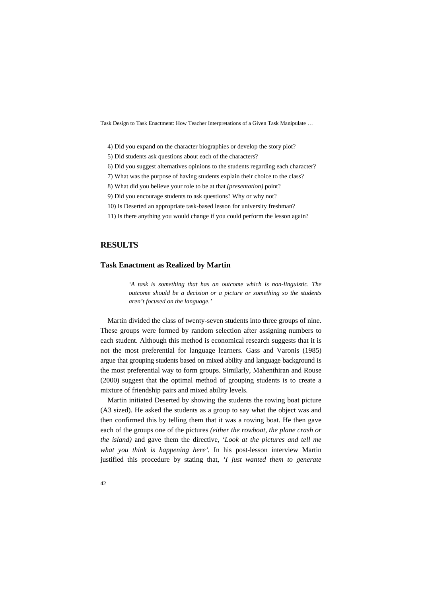- 4) Did you expand on the character biographies or develop the story plot?
- 5) Did students ask questions about each of the characters?
- 6) Did you suggest alternatives opinions to the students regarding each character?
- 7) What was the purpose of having students explain their choice to the class?
- 8) What did you believe your role to be at that *(presentation)* point?
- 9) Did you encourage students to ask questions? Why or why not?
- 10) Is Deserted an appropriate task-based lesson for university freshman?
- 11) Is there anything you would change if you could perform the lesson again?

## **RESULTS**

#### **Task Enactment as Realized by Martin**

*'A task is something that has an outcome which is non-linguistic. The outcome should be a decision or a picture or something so the students aren't focused on the language.'* 

Martin divided the class of twenty-seven students into three groups of nine. These groups were formed by random selection after assigning numbers to each student. Although this method is economical research suggests that it is not the most preferential for language learners. Gass and Varonis (1985) argue that grouping students based on mixed ability and language background is the most preferential way to form groups. Similarly, Mahenthiran and Rouse (2000) suggest that the optimal method of grouping students is to create a mixture of friendship pairs and mixed ability levels.

Martin initiated Deserted by showing the students the rowing boat picture (A3 sized). He asked the students as a group to say what the object was and then confirmed this by telling them that it was a rowing boat. He then gave each of the groups one of the pictures *(either the rowboat, the plane crash or the island)* and gave them the directive, *'Look at the pictures and tell me what you think is happening here'.* In his post-lesson interview Martin justified this procedure by stating that, *'I just wanted them to generate*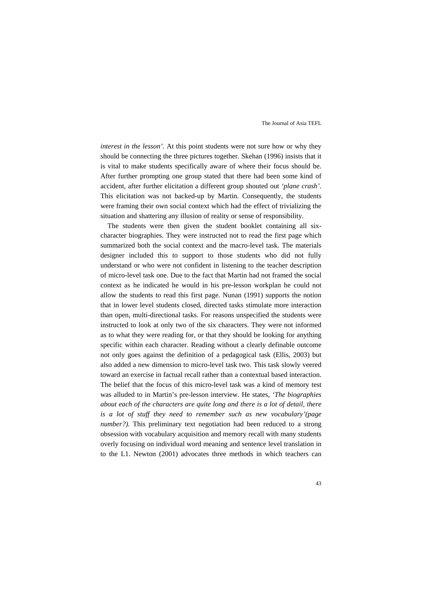*interest in the lesson'.* At this point students were not sure how or why they should be connecting the three pictures together. Skehan (1996) insists that it is vital to make students specifically aware of where their focus should be. After further prompting one group stated that there had been some kind of accident, after further elicitation a different group shouted out *'plane crash'*. This elicitation was not backed-up by Martin. Consequently, the students were framing their own social context which had the effect of trivializing the situation and shattering any illusion of reality or sense of responsibility.

The students were then given the student booklet containing all sixcharacter biographies. They were instructed not to read the first page which summarized both the social context and the macro-level task. The materials designer included this to support to those students who did not fully understand or who were not confident in listening to the teacher description of micro-level task one. Due to the fact that Martin had not framed the social context as he indicated he would in his pre-lesson workplan he could not allow the students to read this first page. Nunan (1991) supports the notion that in lower level students closed, directed tasks stimulate more interaction than open, multi-directional tasks. For reasons unspecified the students were instructed to look at only two of the six characters. They were not informed as to what they were reading for, or that they should be looking for anything specific within each character. Reading without a clearly definable outcome not only goes against the definition of a pedagogical task (Ellis, 2003) but also added a new dimension to micro-level task two. This task slowly veered toward an exercise in factual recall rather than a contextual based interaction. The belief that the focus of this micro-level task was a kind of memory test was alluded to in Martin's pre-lesson interview. He states, *'The biographies about each of the characters are quite long and there is a lot of detail, there is a lot of stuff they need to remember such as new vocabulary'(page number?*). This preliminary text negotiation had been reduced to a strong obsession with vocabulary acquisition and memory recall with many students overly focusing on individual word meaning and sentence level translation in to the L1. Newton (2001) advocates three methods in which teachers can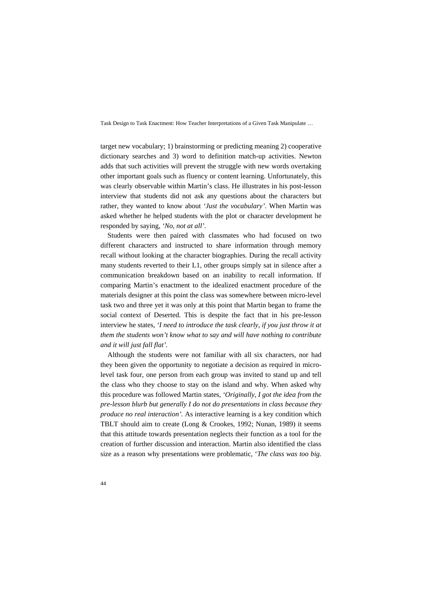target new vocabulary; 1) brainstorming or predicting meaning 2) cooperative dictionary searches and 3) word to definition match-up activities. Newton adds that such activities will prevent the struggle with new words overtaking other important goals such as fluency or content learning. Unfortunately, this was clearly observable within Martin's class. He illustrates in his post-lesson interview that students did not ask any questions about the characters but rather, they wanted to know about *'Just the vocabulary'.* When Martin was asked whether he helped students with the plot or character development he responded by saying, *'No, not at all'.*

Students were then paired with classmates who had focused on two different characters and instructed to share information through memory recall without looking at the character biographies. During the recall activity many students reverted to their L1, other groups simply sat in silence after a communication breakdown based on an inability to recall information. If comparing Martin's enactment to the idealized enactment procedure of the materials designer at this point the class was somewhere between micro-level task two and three yet it was only at this point that Martin began to frame the social context of Deserted. This is despite the fact that in his pre-lesson interview he states, *'I need to introduce the task clearly, if you just throw it at them the students won't know what to say and will have nothing to contribute and it will just fall flat'.*

Although the students were not familiar with all six characters, nor had they been given the opportunity to negotiate a decision as required in microlevel task four, one person from each group was invited to stand up and tell the class who they choose to stay on the island and why. When asked why this procedure was followed Martin states, *'Originally, I got the idea from the pre-lesson blurb but generally I do not do presentations in class because they produce no real interaction'.* As interactive learning is a key condition which TBLT should aim to create (Long & Crookes, 1992; Nunan, 1989) it seems that this attitude towards presentation neglects their function as a tool for the creation of further discussion and interaction. Martin also identified the class size as a reason why presentations were problematic, '*The class was too big.*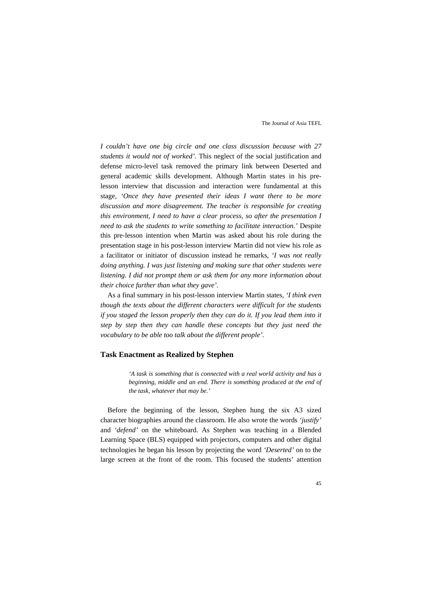*I couldn't have one big circle and one class discussion because with 27 students it would not of worked'.* This neglect of the social justification and defense micro-level task removed the primary link between Deserted and general academic skills development. Although Martin states in his prelesson interview that discussion and interaction were fundamental at this stage, *'Once they have presented their ideas I want there to be more discussion and more disagreement. The teacher is responsible for creating this environment, I need to have a clear process, so after the presentation I need to ask the students to write something to facilitate interaction.'* Despite this pre-lesson intention when Martin was asked about his role during the presentation stage in his post-lesson interview Martin did not view his role as a facilitator or initiator of discussion instead he remarks, *'I was not really doing anything. I was just listening and making sure that other students were listening. I did not prompt them or ask them for any more information about their choice further than what they gave'.*

As a final summary in his post-lesson interview Martin states, *'I think even though the texts about the different characters were difficult for the students if you staged the lesson properly then they can do it. If you lead them into it step by step then they can handle these concepts but they just need the vocabulary to be able too talk about the different people'.* 

#### **Task Enactment as Realized by Stephen**

*'A task is something that is connected with a real world activity and has a beginning, middle and an end. There is something produced at the end of the task, whatever that may be.'* 

Before the beginning of the lesson, Stephen hung the six A3 sized character biographies around the classroom. He also wrote the words *'justify'* and *'defend'* on the whiteboard. As Stephen was teaching in a Blended Learning Space (BLS) equipped with projectors, computers and other digital technologies he began his lesson by projecting the word *'Deserted'* on to the large screen at the front of the room. This focused the students' attention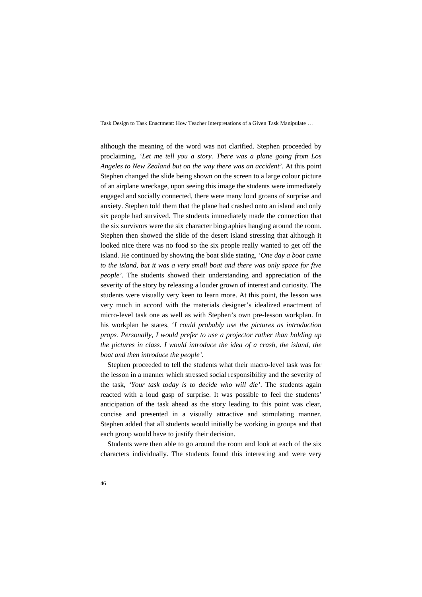although the meaning of the word was not clarified. Stephen proceeded by proclaiming, *'Let me tell you a story. There was a plane going from Los Angeles to New Zealand but on the way there was an accident'.* At this point Stephen changed the slide being shown on the screen to a large colour picture of an airplane wreckage, upon seeing this image the students were immediately engaged and socially connected, there were many loud groans of surprise and anxiety. Stephen told them that the plane had crashed onto an island and only six people had survived. The students immediately made the connection that the six survivors were the six character biographies hanging around the room. Stephen then showed the slide of the desert island stressing that although it looked nice there was no food so the six people really wanted to get off the island. He continued by showing the boat slide stating, *'One day a boat came to the island, but it was a very small boat and there was only space for five people'.* The students showed their understanding and appreciation of the severity of the story by releasing a louder grown of interest and curiosity. The students were visually very keen to learn more. At this point, the lesson was very much in accord with the materials designer's idealized enactment of micro-level task one as well as with Stephen's own pre-lesson workplan. In his workplan he states, '*I could probably use the pictures as introduction props. Personally, I would prefer to use a projector rather than holding up the pictures in class. I would introduce the idea of a crash, the island, the boat and then introduce the people'.* 

Stephen proceeded to tell the students what their macro-level task was for the lesson in a manner which stressed social responsibility and the severity of the task, *'Your task today is to decide who will die'*. The students again reacted with a loud gasp of surprise. It was possible to feel the students' anticipation of the task ahead as the story leading to this point was clear, concise and presented in a visually attractive and stimulating manner. Stephen added that all students would initially be working in groups and that each group would have to justify their decision.

Students were then able to go around the room and look at each of the six characters individually. The students found this interesting and were very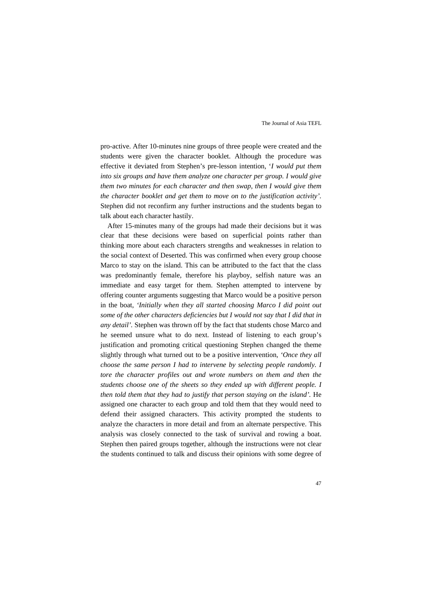pro-active. After 10-minutes nine groups of three people were created and the students were given the character booklet. Although the procedure was effective it deviated from Stephen's pre-lesson intention, '*I would put them into six groups and have them analyze one character per group. I would give them two minutes for each character and then swap, then I would give them the character booklet and get them to move on to the justification activity'.* Stephen did not reconfirm any further instructions and the students began to talk about each character hastily.

After 15-minutes many of the groups had made their decisions but it was clear that these decisions were based on superficial points rather than thinking more about each characters strengths and weaknesses in relation to the social context of Deserted. This was confirmed when every group choose Marco to stay on the island. This can be attributed to the fact that the class was predominantly female, therefore his playboy, selfish nature was an immediate and easy target for them. Stephen attempted to intervene by offering counter arguments suggesting that Marco would be a positive person in the boat, *'Initially when they all started choosing Marco I did point out some of the other characters deficiencies but I would not say that I did that in any detail'.* Stephen was thrown off by the fact that students chose Marco and he seemed unsure what to do next. Instead of listening to each group's justification and promoting critical questioning Stephen changed the theme slightly through what turned out to be a positive intervention*, 'Once they all choose the same person I had to intervene by selecting people randomly. I tore the character profiles out and wrote numbers on them and then the students choose one of the sheets so they ended up with different people. I then told them that they had to justify that person staying on the island'*. He assigned one character to each group and told them that they would need to defend their assigned characters. This activity prompted the students to analyze the characters in more detail and from an alternate perspective. This analysis was closely connected to the task of survival and rowing a boat. Stephen then paired groups together, although the instructions were not clear the students continued to talk and discuss their opinions with some degree of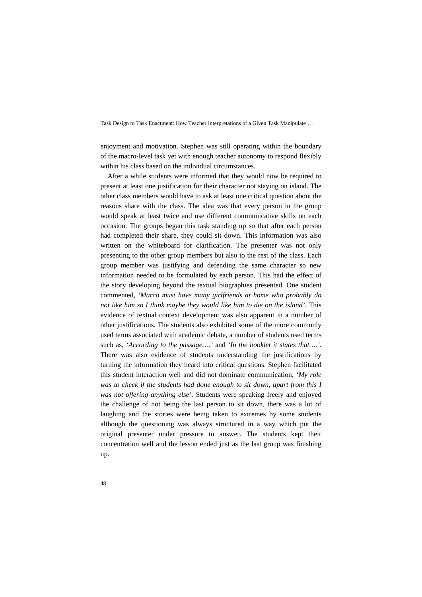enjoyment and motivation. Stephen was still operating within the boundary of the macro-level task yet with enough teacher autonomy to respond flexibly within his class based on the individual circumstances.

After a while students were informed that they would now be required to present at least one justification for their character not staying on island. The other class members would have to ask at least one critical question about the reasons share with the class. The idea was that every person in the group would speak at least twice and use different communicative skills on each occasion. The groups began this task standing up so that after each person had completed their share, they could sit down. This information was also written on the whiteboard for clarification. The presenter was not only presenting to the other group members but also to the rest of the class. Each group member was justifying and defending the same character so new information needed to be formulated by each person. This had the effect of the story developing beyond the textual biographies presented. One student commented, *'Marco must have many girlfriends at home who probably do not like him so I think maybe they would like him to die on the island'*. This evidence of textual context development was also apparent in a number of other justifications. The students also exhibited some of the more commonly used terms associated with academic debate, a number of students used terms such as, *'According to the passage….'* and *'In the booklet it states that….'.* There was also evidence of students understanding the justifications by turning the information they heard into critical questions. Stephen facilitated this student interaction well and did not dominate communication, *'My role*  was to check if the students had done enough to sit down, apart from this I *was not offering anything else'.* Students were speaking freely and enjoyed the challenge of not being the last person to sit down, there was a lot of laughing and the stories were being taken to extremes by some students although the questioning was always structured in a way which put the original presenter under pressure to answer. The students kept their concentration well and the lesson ended just as the last group was finishing up.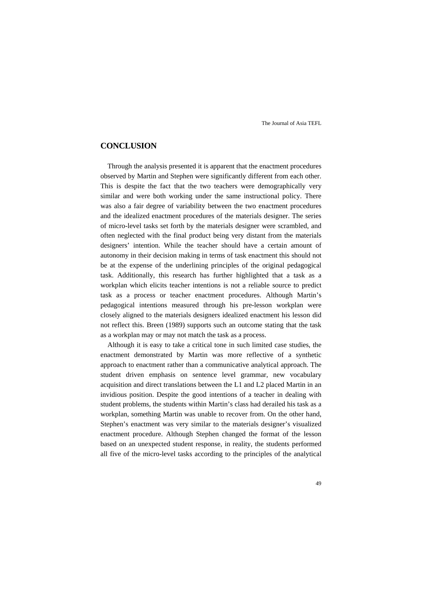### **CONCLUSION**

Through the analysis presented it is apparent that the enactment procedures observed by Martin and Stephen were significantly different from each other. This is despite the fact that the two teachers were demographically very similar and were both working under the same instructional policy. There was also a fair degree of variability between the two enactment procedures and the idealized enactment procedures of the materials designer. The series of micro-level tasks set forth by the materials designer were scrambled, and often neglected with the final product being very distant from the materials designers' intention. While the teacher should have a certain amount of autonomy in their decision making in terms of task enactment this should not be at the expense of the underlining principles of the original pedagogical task. Additionally, this research has further highlighted that a task as a workplan which elicits teacher intentions is not a reliable source to predict task as a process or teacher enactment procedures. Although Martin's pedagogical intentions measured through his pre-lesson workplan were closely aligned to the materials designers idealized enactment his lesson did not reflect this. Breen (1989) supports such an outcome stating that the task as a workplan may or may not match the task as a process.

Although it is easy to take a critical tone in such limited case studies, the enactment demonstrated by Martin was more reflective of a synthetic approach to enactment rather than a communicative analytical approach. The student driven emphasis on sentence level grammar, new vocabulary acquisition and direct translations between the L1 and L2 placed Martin in an invidious position. Despite the good intentions of a teacher in dealing with student problems, the students within Martin's class had derailed his task as a workplan, something Martin was unable to recover from. On the other hand, Stephen's enactment was very similar to the materials designer's visualized enactment procedure. Although Stephen changed the format of the lesson based on an unexpected student response, in reality, the students performed all five of the micro-level tasks according to the principles of the analytical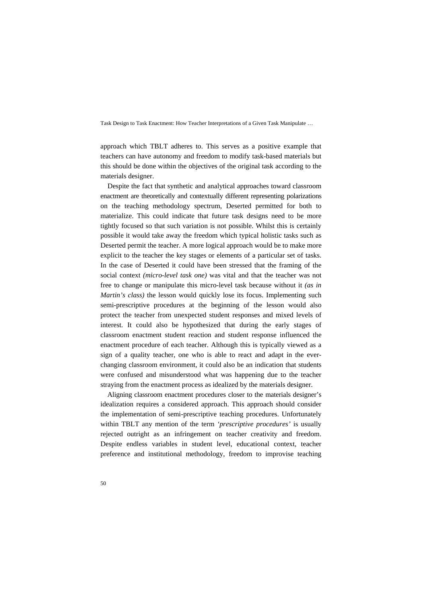approach which TBLT adheres to. This serves as a positive example that teachers can have autonomy and freedom to modify task-based materials but this should be done within the objectives of the original task according to the materials designer.

Despite the fact that synthetic and analytical approaches toward classroom enactment are theoretically and contextually different representing polarizations on the teaching methodology spectrum, Deserted permitted for both to materialize. This could indicate that future task designs need to be more tightly focused so that such variation is not possible. Whilst this is certainly possible it would take away the freedom which typical holistic tasks such as Deserted permit the teacher. A more logical approach would be to make more explicit to the teacher the key stages or elements of a particular set of tasks. In the case of Deserted it could have been stressed that the framing of the social context *(micro-level task one)* was vital and that the teacher was not free to change or manipulate this micro-level task because without it *(as in Martin's class)* the lesson would quickly lose its focus. Implementing such semi-prescriptive procedures at the beginning of the lesson would also protect the teacher from unexpected student responses and mixed levels of interest. It could also be hypothesized that during the early stages of classroom enactment student reaction and student response influenced the enactment procedure of each teacher. Although this is typically viewed as a sign of a quality teacher, one who is able to react and adapt in the everchanging classroom environment, it could also be an indication that students were confused and misunderstood what was happening due to the teacher straying from the enactment process as idealized by the materials designer.

Aligning classroom enactment procedures closer to the materials designer's idealization requires a considered approach. This approach should consider the implementation of semi-prescriptive teaching procedures. Unfortunately within TBLT any mention of the term *'prescriptive procedures'* is usually rejected outright as an infringement on teacher creativity and freedom. Despite endless variables in student level, educational context, teacher preference and institutional methodology, freedom to improvise teaching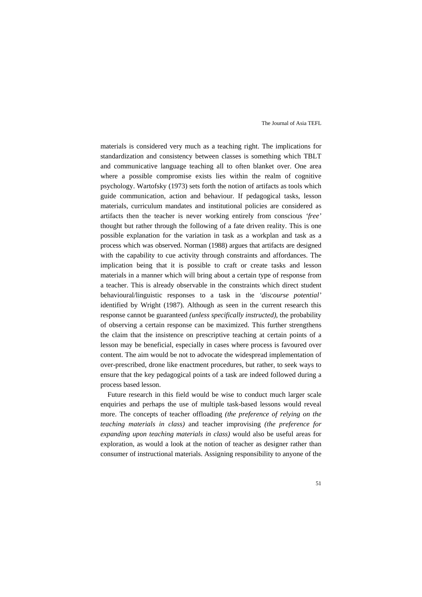materials is considered very much as a teaching right. The implications for standardization and consistency between classes is something which TBLT and communicative language teaching all to often blanket over. One area where a possible compromise exists lies within the realm of cognitive psychology. Wartofsky (1973) sets forth the notion of artifacts as tools which guide communication, action and behaviour. If pedagogical tasks, lesson materials, curriculum mandates and institutional policies are considered as artifacts then the teacher is never working entirely from conscious *'free'* thought but rather through the following of a fate driven reality. This is one possible explanation for the variation in task as a workplan and task as a process which was observed. Norman (1988) argues that artifacts are designed with the capability to cue activity through constraints and affordances. The implication being that it is possible to craft or create tasks and lesson materials in a manner which will bring about a certain type of response from a teacher. This is already observable in the constraints which direct student behavioural/linguistic responses to a task in the *'discourse potential'* identified by Wright (1987). Although as seen in the current research this response cannot be guaranteed *(unless specifically instructed)*, the probability of observing a certain response can be maximized. This further strengthens the claim that the insistence on prescriptive teaching at certain points of a lesson may be beneficial, especially in cases where process is favoured over content. The aim would be not to advocate the widespread implementation of over-prescribed, drone like enactment procedures, but rather, to seek ways to ensure that the key pedagogical points of a task are indeed followed during a process based lesson.

Future research in this field would be wise to conduct much larger scale enquiries and perhaps the use of multiple task-based lessons would reveal more. The concepts of teacher offloading *(the preference of relying on the teaching materials in class)* and teacher improvising *(the preference for expanding upon teaching materials in class)* would also be useful areas for exploration, as would a look at the notion of teacher as designer rather than consumer of instructional materials. Assigning responsibility to anyone of the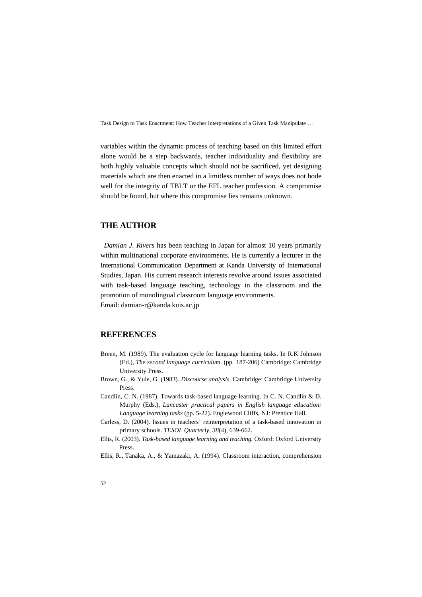variables within the dynamic process of teaching based on this limited effort alone would be a step backwards, teacher individuality and flexibility are both highly valuable concepts which should not be sacrificed, yet designing materials which are then enacted in a limitless number of ways does not bode well for the integrity of TBLT or the EFL teacher profession. A compromise should be found, but where this compromise lies remains unknown.

## **THE AUTHOR**

*Damian J. Rivers* has been teaching in Japan for almost 10 years primarily within multinational corporate environments. He is currently a lecturer in the International Communication Department at Kanda University of International Studies, Japan. His current research interests revolve around issues associated with task-based language teaching, technology in the classroom and the promotion of monolingual classroom language environments. Email: damian-r@kanda.kuis.ac.jp

### **REFERENCES**

- Breen, M. (1989). The evaluation cycle for language learning tasks. In R.K Johnson (Ed.), *The second language curriculum*. (pp. 187-206) Cambridge: Cambridge University Press.
- Brown, G., & Yule, G. (1983). *Discourse analysis.* Cambridge: Cambridge University Press.
- Candlin, C. N. (1987). Towards task-based language learning. In C. N. Candlin & D. Murphy (Eds.), *Lancaster practical papers in English language education: Language learning tasks* (pp. 5-22). Englewood Cliffs, NJ: Prentice Hall.
- Carless, D. (2004). Issues in teachers' reinterpretation of a task-based innovation in primary schools. *TESOL Quarterly*, *38*(4), 639-662.
- Ellis, R. (2003). *Task-based language learning and teaching.* Oxford: Oxford University Press.
- Ellis, R., Tanaka, A., & Yamazaki, A. (1994). Classroom interaction, comprehension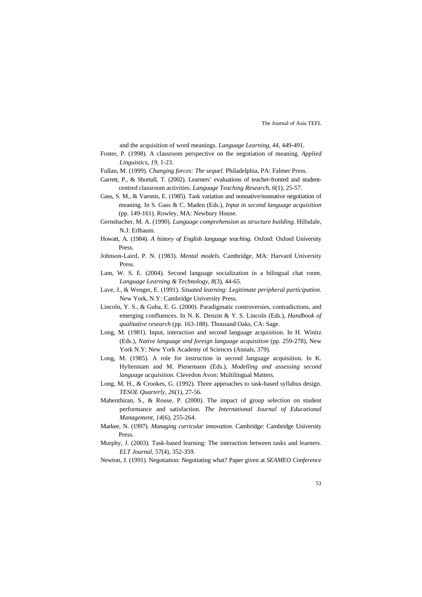and the acquisition of word meanings. *Language Learning, 44,* 449-491*.*

- Foster, P. (1998). A classroom perspective on the negotiation of meaning. *Applied Linguistics, 19,* 1-23.
- Fullan, M. (1999). *Changing forces: The sequel.* Philadelphia, PA: Falmer Press.
- Garrett, P., & Shortall, T. (2002). Learners' evaluations of teacher-fronted and studentcentred classroom activities. *Language Teaching Research*, *6*(1), 25-57.
- Gass, S. M., & Varonis, E. (1985). Task variation and nonnative/nonnative negotiation of meaning. In S. Gass & C. Maden (Eds.), *Input in second language acquisition* (pp. 149-161). Rowley, MA: Newbury House.
- Gernsbacher, M. A. (1990). *Language comprehension as structure building*. Hillsdale, N.J: Erlbaum.
- Howatt, A. (1984). *A history of English language teaching*. Oxford: Oxford University Press.
- Johnson-Laird, P. N. (1983). *Mental models*. Cambridge, MA: Harvard University Press.
- Lam, W. S. E. (2004). Second language socialization in a bilingual chat room. *Language Learning & Technology, 8*(3), 44-65.
- Lave, J., & Wenger, E. (1991). *Situated learning: Legitimate peripheral participation.*  New York, N.Y: Cambridge University Press.
- Lincoln, Y. S., & Guba, E. G. (2000). Paradigmatic controversies, contradictions, and emerging confluences. In N. K. Denzin & Y. S. Lincoln (Eds.), *Handbook of qualitative research* (pp. 163-188). Thousand Oaks, CA: Sage.
- Long, M. (1981). Input, interaction and second language acquisition. In H. Winitz (Eds.), *Native language and foreign language acquisition* (pp. 259-278), New York N.Y: New York Academy of Sciences (Annals, 379).
- Long, M. (1985). A role for instruction in second language acquisition. In K. Hyltenstam and M. Pienemann (Eds.), *Modelling and assessing second language acquisition.* Clevedon Avon: Multilingual Matters.
- Long, M. H., & Crookes, G. (1992). Three approaches to task-based syllabus design. *TESOL Quarterly*, *26*(1), 27-56.
- Mahenthiran, S., & Rouse, P. (2000). The impact of group selection on student performance and satisfaction. *The International Journal of Educational Management, 14*(6), 255-264.
- Markee, N. (1997). *Managing curricular innovation*. Cambridge: Cambridge University Press.
- Murphy, J. (2003). Task-based learning: The interaction between tasks and learners. *ELT Journal*, *57*(4), 352-359.
- Newton, J. (1991). Negotiation: Negotiating what? Paper given at *SEAMEO Conference*